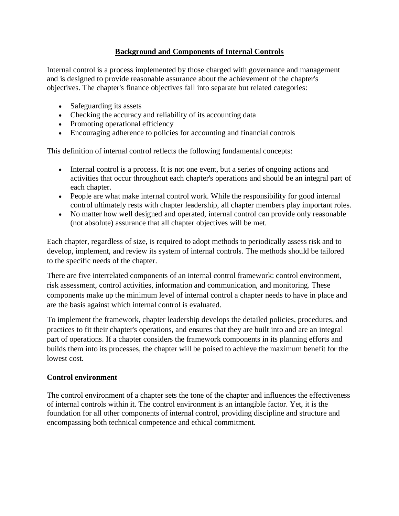# **Background and Components of Internal Controls**

Internal control is a process implemented by those charged with governance and management and is designed to provide reasonable assurance about the achievement of the chapter's objectives. The chapter's finance objectives fall into separate but related categories:

- Safeguarding its assets
- Checking the accuracy and reliability of its accounting data
- Promoting operational efficiency
- Encouraging adherence to policies for accounting and financial controls

This definition of internal control reflects the following fundamental concepts:

- Internal control is a process. It is not one event, but a series of ongoing actions and activities that occur throughout each chapter's operations and should be an integral part of each chapter.
- People are what make internal control work. While the responsibility for good internal control ultimately rests with chapter leadership, all chapter members play important roles.
- No matter how well designed and operated, internal control can provide only reasonable (not absolute) assurance that all chapter objectives will be met.

Each chapter, regardless of size, is required to adopt methods to periodically assess risk and to develop, implement, and review its system of internal controls. The methods should be tailored to the specific needs of the chapter.

There are five interrelated components of an internal control framework: control environment, risk assessment, control activities, information and communication, and monitoring. These components make up the minimum level of internal control a chapter needs to have in place and are the basis against which internal control is evaluated.

To implement the framework, chapter leadership develops the detailed policies, procedures, and practices to fit their chapter's operations, and ensures that they are built into and are an integral part of operations. If a chapter considers the framework components in its planning efforts and builds them into its processes, the chapter will be poised to achieve the maximum benefit for the lowest cost.

## **Control environment**

The control environment of a chapter sets the tone of the chapter and influences the effectiveness of internal controls within it. The control environment is an intangible factor. Yet, it is the foundation for all other components of internal control, providing discipline and structure and encompassing both technical competence and ethical commitment.